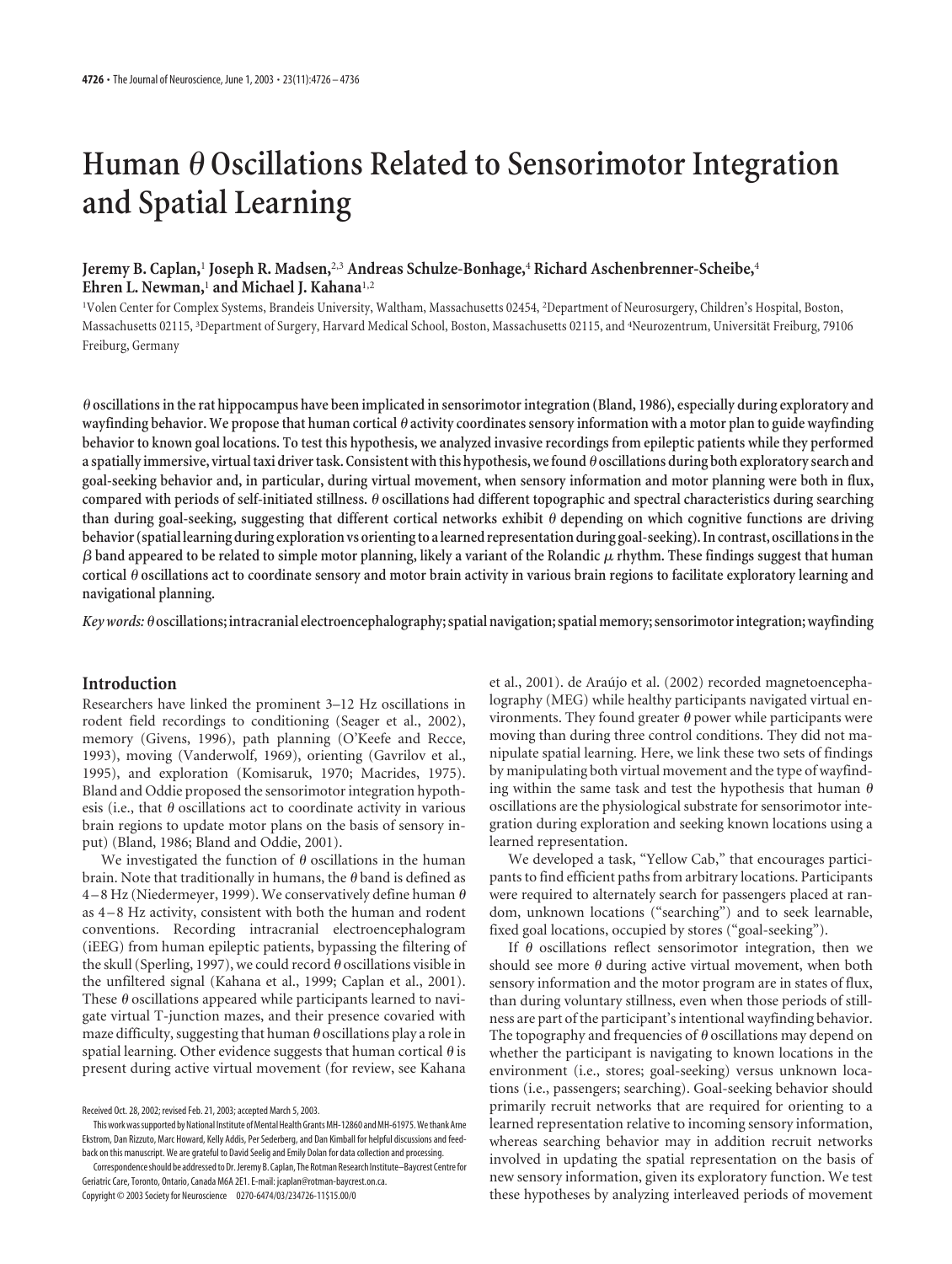# **Human Oscillations Related to Sensorimotor Integration and Spatial Learning**

# **Jeremy B. Caplan,**<sup>1</sup> **Joseph R. Madsen,**2,3 **Andreas Schulze-Bonhage,**<sup>4</sup> **Richard Aschenbrenner-Scheibe,**<sup>4</sup> **Ehren L. Newman,**<sup>1</sup> **and Michael J. Kahana**1,2

1 Volen Center for Complex Systems, Brandeis University, Waltham, Massachusetts 02454, <sup>2</sup> Department of Neurosurgery, Children's Hospital, Boston, Massachusetts 02115, <sup>3</sup>Department of Surgery, Harvard Medical School, Boston, Massachusetts 02115, and <sup>4</sup>Neurozentrum, Universität Freiburg, 79106 Freiburg, Germany

 **oscillations in the rat hippocampus have been implicated in sensorimotor integration (Bland, 1986), especially during exploratory and wayfinding behavior. We propose that human cortical activity coordinates sensory information with a motor plan to guide wayfinding behavior to known goal locations. To test this hypothesis, we analyzed invasive recordings from epileptic patients while they performed a spatially immersive, virtual taxi driver task. Consistent with this hypothesis, we found oscillations during both exploratory search and goal-seeking behavior and, in particular, during virtual movement, when sensory information and motor planning were both in flux, compared with periods of self-initiated stillness. oscillations had different topographic and spectral characteristics during searching** than during goal-seeking, suggesting that different cortical networks exhibit  $\theta$  depending on which cognitive functions are driving **behavior (spatial learning during exploration vs orienting to a learned representation during goal-seeking). In contrast, oscillations in the**  $\beta$  band appeared to be related to simple motor planning, likely a variant of the Rolandic  $\mu$  rhythm. These findings suggest that human **cortical oscillations act to coordinate sensory and motor brain activity in various brain regions to facilitate exploratory learning and navigational planning.**

*Key words:***oscillations; intracranial electroencephalography; spatial navigation; spatial memory; sensorimotor integration; wayfinding**

## **Introduction**

Researchers have linked the prominent 3–12 Hz oscillations in rodent field recordings to conditioning (Seager et al., 2002), memory (Givens, 1996), path planning (O'Keefe and Recce, 1993), moving (Vanderwolf, 1969), orienting (Gavrilov et al., 1995), and exploration (Komisaruk, 1970; Macrides, 1975). Bland and Oddie proposed the sensorimotor integration hypothesis (i.e., that  $\theta$  oscillations act to coordinate activity in various brain regions to update motor plans on the basis of sensory input) (Bland, 1986; Bland and Oddie, 2001).

We investigated the function of  $\theta$  oscillations in the human brain. Note that traditionally in humans, the  $\theta$  band is defined as 4 – 8 Hz (Niedermeyer, 1999). We conservatively define human  $\theta$ as 4 – 8 Hz activity, consistent with both the human and rodent conventions. Recording intracranial electroencephalogram (iEEG) from human epileptic patients, bypassing the filtering of the skull (Sperling, 1997), we could record  $\theta$  oscillations visible in the unfiltered signal (Kahana et al., 1999; Caplan et al., 2001). These  $\theta$  oscillations appeared while participants learned to navigate virtual T-junction mazes, and their presence covaried with maze difficulty, suggesting that human  $\theta$  oscillations play a role in spatial learning. Other evidence suggests that human cortical  $\theta$  is present during active virtual movement (for review, see Kahana

Correspondence should be addressed to Dr. Jeremy B. Caplan, The Rotman Research Institute–Baycrest Centre for Geriatric Care, Toronto, Ontario, Canada M6A 2E1. E-mail: jcaplan@rotman-baycrest.on.ca.

Copyright © 2003 Society for Neuroscience 0270-6474/03/234726-11\$15.00/0

et al., 2001). de Araújo et al. (2002) recorded magnetoencephalography (MEG) while healthy participants navigated virtual environments. They found greater  $\theta$  power while participants were moving than during three control conditions. They did not manipulate spatial learning. Here, we link these two sets of findings by manipulating both virtual movement and the type of wayfinding within the same task and test the hypothesis that human  $\theta$ oscillations are the physiological substrate for sensorimotor integration during exploration and seeking known locations using a learned representation.

We developed a task, "Yellow Cab," that encourages participants to find efficient paths from arbitrary locations. Participants were required to alternately search for passengers placed at random, unknown locations ("searching") and to seek learnable, fixed goal locations, occupied by stores ("goal-seeking").

If  $\theta$  oscillations reflect sensorimotor integration, then we should see more  $\theta$  during active virtual movement, when both sensory information and the motor program are in states of flux, than during voluntary stillness, even when those periods of stillness are part of the participant's intentional wayfinding behavior. The topography and frequencies of  $\theta$  oscillations may depend on whether the participant is navigating to known locations in the environment (i.e., stores; goal-seeking) versus unknown locations (i.e., passengers; searching). Goal-seeking behavior should primarily recruit networks that are required for orienting to a learned representation relative to incoming sensory information, whereas searching behavior may in addition recruit networks involved in updating the spatial representation on the basis of new sensory information, given its exploratory function. We test these hypotheses by analyzing interleaved periods of movement

Received Oct. 28, 2002; revised Feb. 21, 2003; accepted March 5, 2003.

This work was supported by National Institute of Mental Health Grants MH-12860 and MH-61975. We thank Arne Ekstrom, Dan Rizzuto, Marc Howard, Kelly Addis, Per Sederberg, and Dan Kimball for helpful discussions and feedback on this manuscript. We are grateful to David Seelig and Emily Dolan for data collection and processing.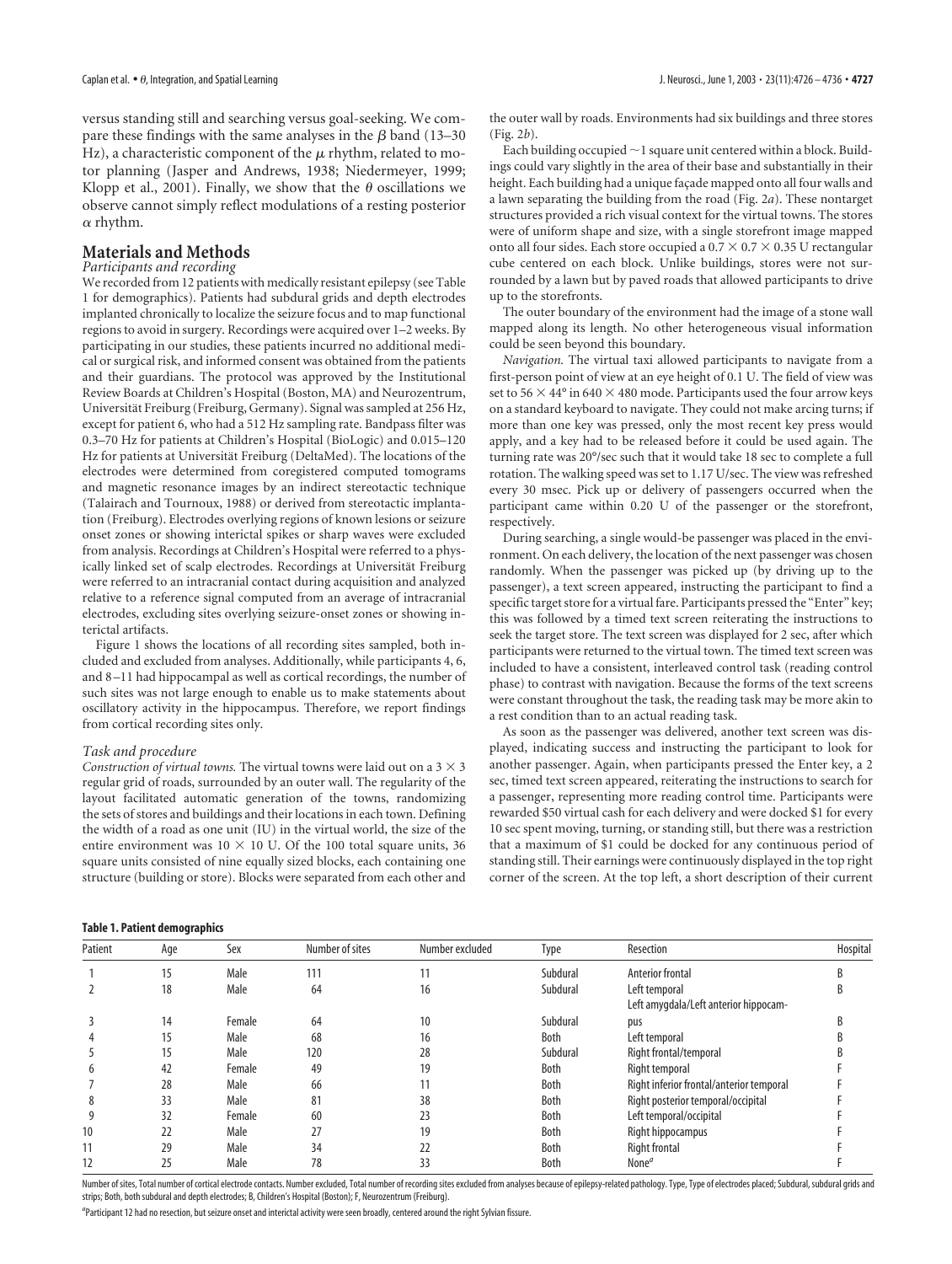versus standing still and searching versus goal-seeking. We compare these findings with the same analyses in the  $\beta$  band (13–30 Hz), a characteristic component of the  $\mu$  rhythm, related to motor planning (Jasper and Andrews, 1938; Niedermeyer, 1999; Klopp et al., 2001). Finally, we show that the  $\theta$  oscillations we observe cannot simply reflect modulations of a resting posterior  $\alpha$  rhythm.

# **Materials and Methods**

# *Participants and recording*

We recorded from 12 patients with medically resistant epilepsy (see Table 1 for demographics). Patients had subdural grids and depth electrodes implanted chronically to localize the seizure focus and to map functional regions to avoid in surgery. Recordings were acquired over 1–2 weeks. By participating in our studies, these patients incurred no additional medical or surgical risk, and informed consent was obtained from the patients and their guardians. The protocol was approved by the Institutional Review Boards at Children's Hospital (Boston, MA) and Neurozentrum, Universität Freiburg (Freiburg, Germany). Signal was sampled at 256 Hz, except for patient 6, who had a 512 Hz sampling rate. Bandpass filter was 0.3–70 Hz for patients at Children's Hospital (BioLogic) and 0.015–120 Hz for patients at Universität Freiburg (DeltaMed). The locations of the electrodes were determined from coregistered computed tomograms and magnetic resonance images by an indirect stereotactic technique (Talairach and Tournoux, 1988) or derived from stereotactic implantation (Freiburg). Electrodes overlying regions of known lesions or seizure onset zones or showing interictal spikes or sharp waves were excluded from analysis. Recordings at Children's Hospital were referred to a physically linked set of scalp electrodes. Recordings at Universität Freiburg were referred to an intracranial contact during acquisition and analyzed relative to a reference signal computed from an average of intracranial electrodes, excluding sites overlying seizure-onset zones or showing interictal artifacts.

Figure 1 shows the locations of all recording sites sampled, both included and excluded from analyses. Additionally, while participants 4, 6, and 8–11 had hippocampal as well as cortical recordings, the number of such sites was not large enough to enable us to make statements about oscillatory activity in the hippocampus. Therefore, we report findings from cortical recording sites only.

## *Task and procedure*

*Construction of virtual towns.* The virtual towns were laid out on a  $3 \times 3$ regular grid of roads, surrounded by an outer wall. The regularity of the layout facilitated automatic generation of the towns, randomizing the sets of stores and buildings and their locations in each town. Defining the width of a road as one unit (IU) in the virtual world, the size of the entire environment was  $10 \times 10$  U. Of the 100 total square units, 36 square units consisted of nine equally sized blocks, each containing one structure (building or store). Blocks were separated from each other and

#### Caplan et al. •  $\theta$ , Integration, and Spatial Learning **and Spatial Learning**  $J$ . Neurosci., June 1, 2003 • 23(11):4726 – 4736 • **4727**

the outer wall by roads. Environments had six buildings and three stores (Fig. 2*b*).

Each building occupied  $\sim$  1 square unit centered within a block. Buildings could vary slightly in the area of their base and substantially in their height. Each building had a unique façade mapped onto all four walls and a lawn separating the building from the road (Fig. 2*a*). These nontarget structures provided a rich visual context for the virtual towns. The stores were of uniform shape and size, with a single storefront image mapped onto all four sides. Each store occupied a  $0.7 \times 0.7 \times 0.35$  U rectangular cube centered on each block. Unlike buildings, stores were not surrounded by a lawn but by paved roads that allowed participants to drive up to the storefronts.

The outer boundary of the environment had the image of a stone wall mapped along its length. No other heterogeneous visual information could be seen beyond this boundary.

*Navigation.* The virtual taxi allowed participants to navigate from a first-person point of view at an eye height of 0.1 U. The field of view was set to 56  $\times$  44° in 640  $\times$  480 mode. Participants used the four arrow keys on a standard keyboard to navigate. They could not make arcing turns; if more than one key was pressed, only the most recent key press would apply, and a key had to be released before it could be used again. The turning rate was 20°/sec such that it would take 18 sec to complete a full rotation. The walking speed was set to 1.17 U/sec. The view was refreshed every 30 msec. Pick up or delivery of passengers occurred when the participant came within 0.20 U of the passenger or the storefront, respectively.

During searching, a single would-be passenger was placed in the environment. On each delivery, the location of the next passenger was chosen randomly. When the passenger was picked up (by driving up to the passenger), a text screen appeared, instructing the participant to find a specific target store for a virtual fare. Participants pressed the "Enter" key; this was followed by a timed text screen reiterating the instructions to seek the target store. The text screen was displayed for 2 sec, after which participants were returned to the virtual town. The timed text screen was included to have a consistent, interleaved control task (reading control phase) to contrast with navigation. Because the forms of the text screens were constant throughout the task, the reading task may be more akin to a rest condition than to an actual reading task.

As soon as the passenger was delivered, another text screen was displayed, indicating success and instructing the participant to look for another passenger. Again, when participants pressed the Enter key, a 2 sec, timed text screen appeared, reiterating the instructions to search for a passenger, representing more reading control time. Participants were rewarded \$50 virtual cash for each delivery and were docked \$1 for every 10 sec spent moving, turning, or standing still, but there was a restriction that a maximum of \$1 could be docked for any continuous period of standing still. Their earnings were continuously displayed in the top right corner of the screen. At the top left, a short description of their current

#### **Table 1. Patient demographics**

| Patient | Age | Sex    | Number of sites | Number excluded | Type     | Resection                                | Hospital |
|---------|-----|--------|-----------------|-----------------|----------|------------------------------------------|----------|
|         | 15  | Male   | 111             | 11              | Subdural | Anterior frontal                         | R        |
|         | 18  | Male   | 64              | 16              | Subdural | Left temporal                            |          |
|         |     |        |                 |                 |          | Left amygdala/Left anterior hippocam-    |          |
|         | 14  | Female | 64              | 10              | Subdural | pus                                      |          |
|         | 15  | Male   | 68              | 16              | Both     | Left temporal                            |          |
|         | 15  | Male   | 120             | 28              | Subdural | Right frontal/temporal                   |          |
|         | 42  | Female | 49              | 19              | Both     | Right temporal                           |          |
|         | 28  | Male   | 66              | 11              | Both     | Right inferior frontal/anterior temporal |          |
|         | 33  | Male   | 81              | 38              | Both     | Right posterior temporal/occipital       |          |
|         | 32  | Female | 60              | 23              | Both     | Left temporal/occipital                  |          |
| 10      | 22  | Male   | 27              | 19              | Both     | Right hippocampus                        |          |
| 11      | 29  | Male   | 34              | 22              | Both     | <b>Right frontal</b>                     |          |
| 12      | 25  | Male   | 78              | 33              | Both     | None <sup>a</sup>                        |          |

Number of sites, Total number of cortical electrode contacts. Number excluded, Total number of recording sites excluded from analyses because of epilepsy-related pathology. Type, Type, Type of electrodes placed; Subdural, strips; Both, both subdural and depth electrodes; B, Children's Hospital (Boston); F, Neurozentrum (Freiburg).

*a* Participant 12 had no resection, but seizure onset and interictal activity were seen broadly, centered around the right Sylvian fissure.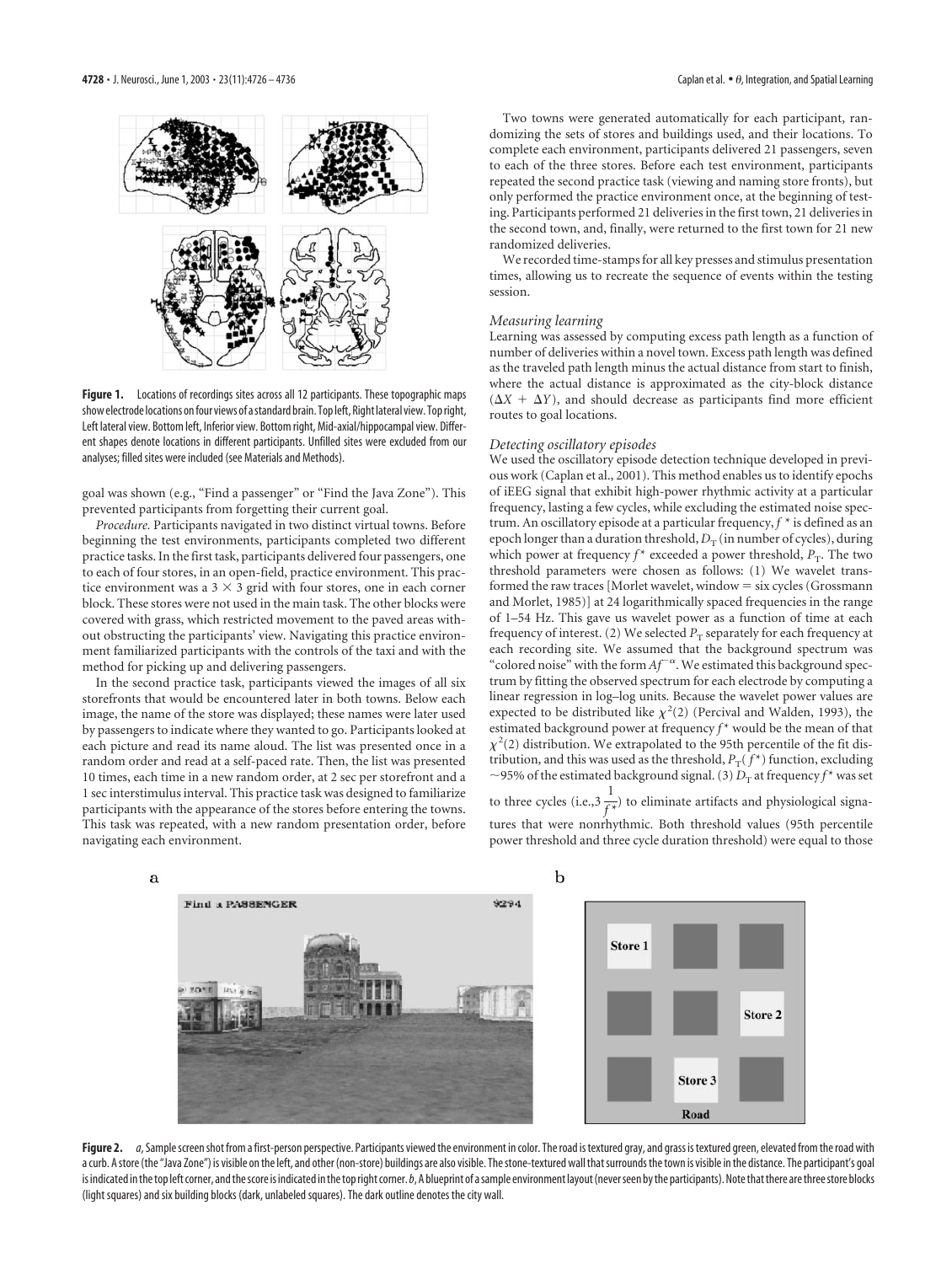

Figure 1. Locations of recordings sites across all 12 participants. These topographic maps show electrode locations on four views of a standard brain. Top left, Right lateral view. Top right, Left lateral view. Bottom left, Inferior view. Bottom right, Mid-axial/hippocampal view. Different shapes denote locations in different participants. Unfilled sites were excluded from our analyses; filled sites were included (see Materials and Methods).

goal was shown (e.g., "Find a passenger" or "Find the Java Zone"). This prevented participants from forgetting their current goal.

*Procedure.* Participants navigated in two distinct virtual towns. Before beginning the test environments, participants completed two different practice tasks. In the first task, participants delivered four passengers, one to each of four stores, in an open-field, practice environment. This practice environment was a  $3 \times 3$  grid with four stores, one in each corner block. These stores were not used in the main task. The other blocks were covered with grass, which restricted movement to the paved areas without obstructing the participants' view. Navigating this practice environment familiarized participants with the controls of the taxi and with the method for picking up and delivering passengers.

In the second practice task, participants viewed the images of all six storefronts that would be encountered later in both towns. Below each image, the name of the store was displayed; these names were later used by passengers to indicate where they wanted to go. Participants looked at each picture and read its name aloud. The list was presented once in a random order and read at a self-paced rate. Then, the list was presented 10 times, each time in a new random order, at 2 sec per storefront and a 1 sec interstimulus interval. This practice task was designed to familiarize participants with the appearance of the stores before entering the towns. This task was repeated, with a new random presentation order, before navigating each environment.

Two towns were generated automatically for each participant, randomizing the sets of stores and buildings used, and their locations. To complete each environment, participants delivered 21 passengers, seven to each of the three stores. Before each test environment, participants repeated the second practice task (viewing and naming store fronts), but only performed the practice environment once, at the beginning of testing. Participants performed 21 deliveries in the first town, 21 deliveries in the second town, and, finally, were returned to the first town for 21 new randomized deliveries.

We recorded time-stamps for all key presses and stimulus presentation times, allowing us to recreate the sequence of events within the testing session.

#### *Measuring learning*

Learning was assessed by computing excess path length as a function of number of deliveries within a novel town. Excess path length was defined as the traveled path length minus the actual distance from start to finish, where the actual distance is approximated as the city-block distance  $(\Delta X + \Delta Y)$ , and should decrease as participants find more efficient routes to goal locations.

#### *Detecting oscillatory episodes*

We used the oscillatory episode detection technique developed in previous work (Caplan et al., 2001). This method enables us to identify epochs of iEEG signal that exhibit high-power rhythmic activity at a particular frequency, lasting a few cycles, while excluding the estimated noise spectrum. An oscillatory episode at a particular frequency, *f* \* is defined as an epoch longer than a duration threshold,  $D_T$  (in number of cycles), during which power at frequency  $f^*$  exceeded a power threshold,  $P_T$ . The two threshold parameters were chosen as follows: (1) We wavelet transformed the raw traces [Morlet wavelet, window  $=$  six cycles (Grossmann and Morlet, 1985)] at 24 logarithmically spaced frequencies in the range of 1–54 Hz. This gave us wavelet power as a function of time at each frequency of interest. (2) We selected  $P<sub>T</sub>$  separately for each frequency at each recording site. We assumed that the background spectrum was "colored noise" with the form  $Af^{-\alpha}$ . We estimated this background spectrum by fitting the observed spectrum for each electrode by computing a linear regression in log–log units. Because the wavelet power values are expected to be distributed like  $\chi^2(2)$  (Percival and Walden, 1993), the estimated background power at frequency  $f^*$  would be the mean of that  $\chi^2(2)$  distribution. We extrapolated to the 95th percentile of the fit distribution, and this was used as the threshold,  $P_T(f^*)$  function, excluding  $\sim$  95% of the estimated background signal. (3)  $D_{\rm T}$  at frequency  $f^\star$  was set

to three cycles (i.e.,3  $\frac{1}{\epsilon}$  $\widehat{f^{\ast}}$ ) to eliminate artifacts and physiological signatures that were nonrhythmic. Both threshold values (95th percentile power threshold and three cycle duration threshold) were equal to those



Figure 2. *a*, Sample screen shot from a first-person perspective. Participants viewed the environment in color. The road is textured gray, and grass is textured green, elevated from the road with a curb. A store (the "Java Zone") is visible on the left, and other (non-store) buildings are also visible. The stone-textured wall that surrounds the town is visible in the distance. The participant's goal is indicated in the top left corner, and the score is indicated in the top right corner. *b*, A blueprint of a sample environment layout (never seen by the participants). Note that there are three store blocks (light squares) and six building blocks (dark, unlabeled squares). The dark outline denotes the city wall.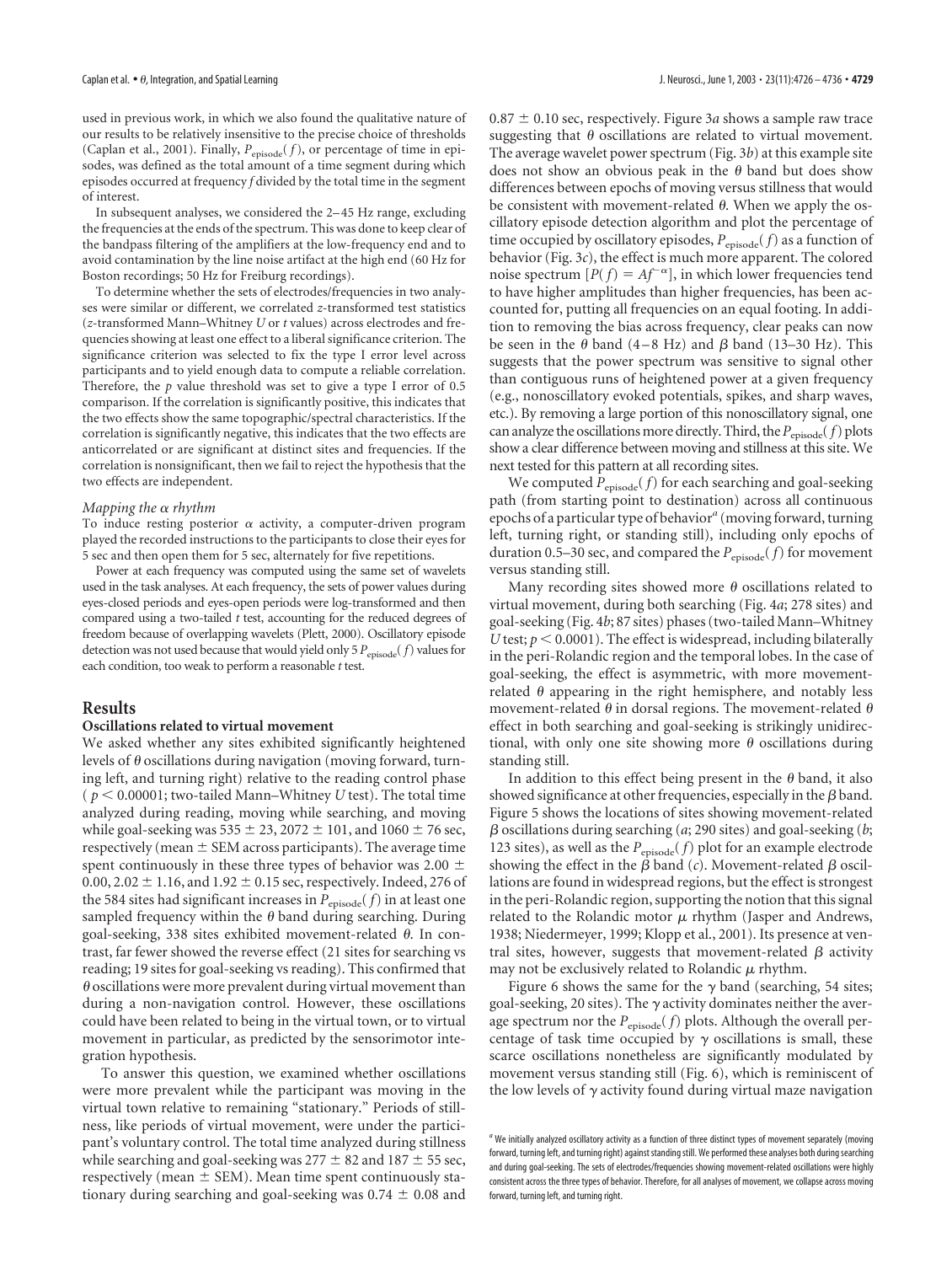used in previous work, in which we also found the qualitative nature of our results to be relatively insensitive to the precise choice of thresholds (Caplan et al., 2001). Finally,  $P_{\text{episode}}(f)$ , or percentage of time in episodes, was defined as the total amount of a time segment during which episodes occurred at frequency *f* divided by the total time in the segment of interest.

In subsequent analyses, we considered the 2–45 Hz range, excluding the frequencies at the ends of the spectrum. This was done to keep clear of the bandpass filtering of the amplifiers at the low-frequency end and to avoid contamination by the line noise artifact at the high end (60 Hz for Boston recordings; 50 Hz for Freiburg recordings).

To determine whether the sets of electrodes/frequencies in two analyses were similar or different, we correlated *z*-transformed test statistics (*z*-transformed Mann–Whitney *U* or *t* values) across electrodes and frequencies showing at least one effect to a liberal significance criterion. The significance criterion was selected to fix the type I error level across participants and to yield enough data to compute a reliable correlation. Therefore, the *p* value threshold was set to give a type I error of 0.5 comparison. If the correlation is significantly positive, this indicates that the two effects show the same topographic/spectral characteristics. If the correlation is significantly negative, this indicates that the two effects are anticorrelated or are significant at distinct sites and frequencies. If the correlation is nonsignificant, then we fail to reject the hypothesis that the two effects are independent.

#### *Mapping the rhythm*

To induce resting posterior  $\alpha$  activity, a computer-driven program played the recorded instructions to the participants to close their eyes for 5 sec and then open them for 5 sec, alternately for five repetitions.

Power at each frequency was computed using the same set of wavelets used in the task analyses. At each frequency, the sets of power values during eyes-closed periods and eyes-open periods were log-transformed and then compared using a two-tailed *t* test, accounting for the reduced degrees of freedom because of overlapping wavelets (Plett, 2000). Oscillatory episode detection was not used because that would yield only 5  $P_{\text{episode}}(f)$  values for each condition, too weak to perform a reasonable *t* test.

## **Results**

#### **Oscillations related to virtual movement**

We asked whether any sites exhibited significantly heightened levels of  $\theta$  oscillations during navigation (moving forward, turning left, and turning right) relative to the reading control phase ( $p < 0.00001$ ; two-tailed Mann–Whitney *U* test). The total time analyzed during reading, moving while searching, and moving while goal-seeking was  $535 \pm 23$ ,  $2072 \pm 101$ , and  $1060 \pm 76$  sec, respectively (mean  $\pm$  SEM across participants). The average time spent continuously in these three types of behavior was 2.00  $\pm$ 0.00, 2.02  $\pm$  1.16, and 1.92  $\pm$  0.15 sec, respectively. Indeed, 276 of the 584 sites had significant increases in  $P_{\text{episode}}(f)$  in at least one sampled frequency within the  $\theta$  band during searching. During goal-seeking, 338 sites exhibited movement-related  $\theta$ . In contrast, far fewer showed the reverse effect (21 sites for searching vs reading; 19 sites for goal-seeking vs reading). This confirmed that  $\theta$  oscillations were more prevalent during virtual movement than during a non-navigation control. However, these oscillations could have been related to being in the virtual town, or to virtual movement in particular, as predicted by the sensorimotor integration hypothesis.

To answer this question, we examined whether oscillations were more prevalent while the participant was moving in the virtual town relative to remaining "stationary." Periods of stillness, like periods of virtual movement, were under the participant's voluntary control. The total time analyzed during stillness while searching and goal-seeking was  $277 \pm 82$  and  $187 \pm 55$  sec, respectively (mean  $\pm$  SEM). Mean time spent continuously stationary during searching and goal-seeking was  $0.74 \pm 0.08$  and

 $0.87 \pm 0.10$  sec, respectively. Figure 3*a* shows a sample raw trace suggesting that  $\theta$  oscillations are related to virtual movement. The average wavelet power spectrum (Fig. 3*b*) at this example site does not show an obvious peak in the  $\theta$  band but does show differences between epochs of moving versus stillness that would be consistent with movement-related  $\theta$ . When we apply the oscillatory episode detection algorithm and plot the percentage of time occupied by oscillatory episodes,  $P_{\text{episode}}(f)$  as a function of behavior (Fig. 3*c*), the effect is much more apparent. The colored noise spectrum  $[P(f) = Af^{-\alpha}]$ , in which lower frequencies tend to have higher amplitudes than higher frequencies, has been accounted for, putting all frequencies on an equal footing. In addition to removing the bias across frequency, clear peaks can now be seen in the  $\theta$  band (4–8 Hz) and  $\beta$  band (13–30 Hz). This suggests that the power spectrum was sensitive to signal other than contiguous runs of heightened power at a given frequency (e.g., nonoscillatory evoked potentials, spikes, and sharp waves, etc.). By removing a large portion of this nonoscillatory signal, one can analyze the oscillations more directly. Third, the  $P_{\text{episode}}(f)$  plots show a clear difference between moving and stillness at this site. We next tested for this pattern at all recording sites.

We computed  $P_{\text{episode}}(f)$  for each searching and goal-seeking path (from starting point to destination) across all continuous epochs of a particular type of behavior*<sup>a</sup>* (moving forward, turning left, turning right, or standing still), including only epochs of duration 0.5–30 sec, and compared the  $P_{\text{episode}}(f)$  for movement versus standing still.

Many recording sites showed more  $\theta$  oscillations related to virtual movement, during both searching (Fig. 4*a*; 278 sites) and goal-seeking (Fig. 4*b*; 87 sites) phases (two-tailed Mann–Whitney *U* test;  $p < 0.0001$ ). The effect is widespread, including bilaterally in the peri-Rolandic region and the temporal lobes. In the case of goal-seeking, the effect is asymmetric, with more movementrelated  $\theta$  appearing in the right hemisphere, and notably less movement-related  $\theta$  in dorsal regions. The movement-related  $\theta$ effect in both searching and goal-seeking is strikingly unidirectional, with only one site showing more  $\theta$  oscillations during standing still.

In addition to this effect being present in the  $\theta$  band, it also showed significance at other frequencies, especially in the  $\beta$  band. Figure 5 shows the locations of sites showing movement-related  $\beta$  oscillations during searching (*a*; 290 sites) and goal-seeking (*b*; 123 sites), as well as the  $P_{\text{epsilon}}(f)$  plot for an example electrode showing the effect in the  $\beta$  band (*c*). Movement-related  $\beta$  oscillations are found in widespread regions, but the effect is strongest in the peri-Rolandic region, supporting the notion that this signal related to the Rolandic motor  $\mu$  rhythm (Jasper and Andrews, 1938; Niedermeyer, 1999; Klopp et al., 2001). Its presence at ventral sites, however, suggests that movement-related  $\beta$  activity may not be exclusively related to Rolandic  $\mu$  rhythm.

Figure 6 shows the same for the  $\gamma$  band (searching, 54 sites; goal-seeking, 20 sites). The  $\gamma$  activity dominates neither the average spectrum nor the  $P_{\text{enisode}}(f)$  plots. Although the overall percentage of task time occupied by  $\gamma$  oscillations is small, these scarce oscillations nonetheless are significantly modulated by movement versus standing still (Fig. 6), which is reminiscent of the low levels of  $\gamma$  activity found during virtual maze navigation

*<sup>a</sup>* We initially analyzed oscillatory activity as a function of three distinct types of movement separately (moving forward, turning left, and turning right) against standing still. We performed these analyses both during searching and during goal-seeking. The sets of electrodes/frequencies showing movement-related oscillations were highly consistent across the three types of behavior. Therefore, for all analyses of movement, we collapse across moving forward, turning left, and turning right.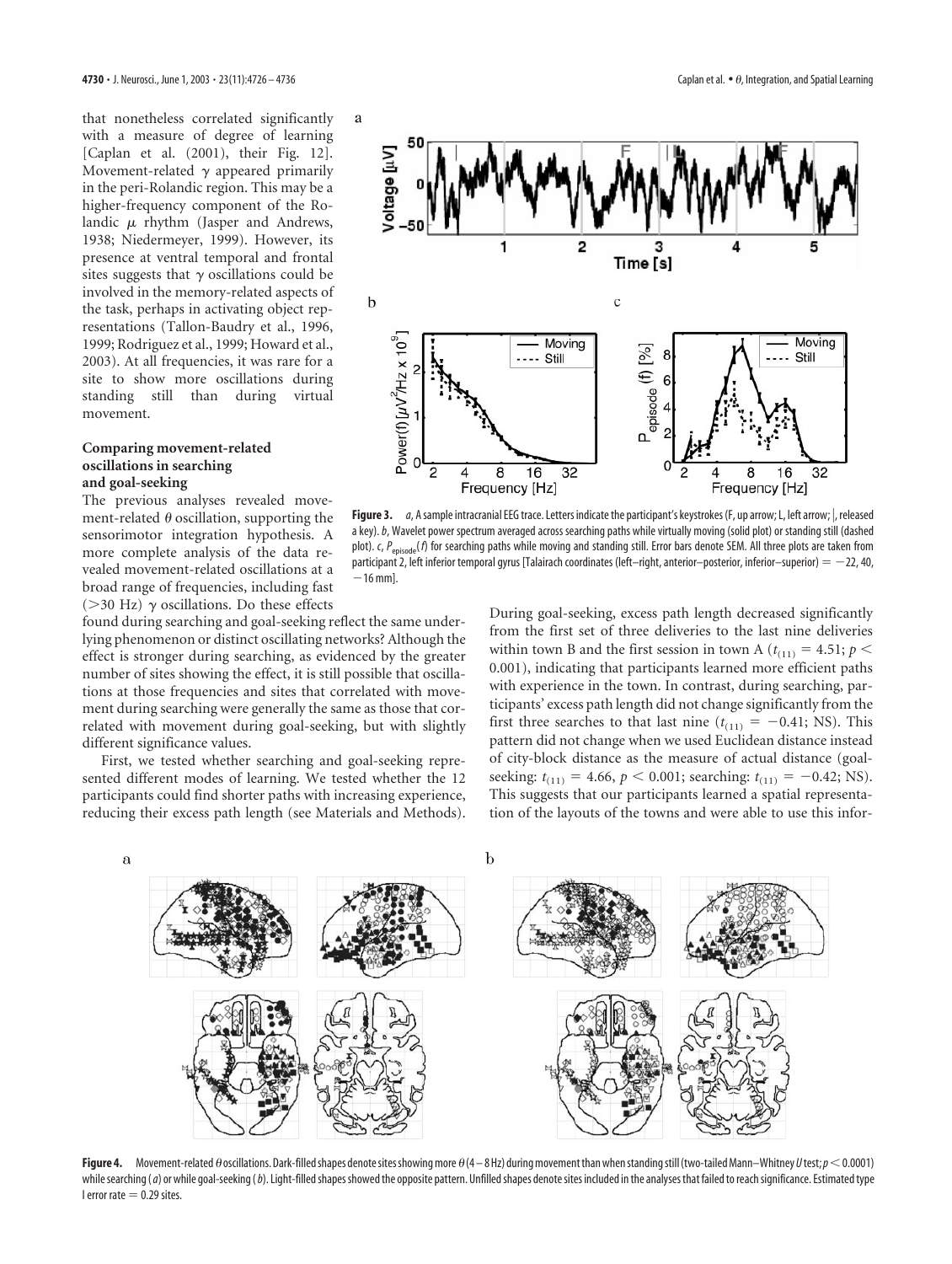that nonetheless correlated significantly with a measure of degree of learning [Caplan et al. (2001), their Fig. 12]. Movement-related  $\gamma$  appeared primarily in the peri-Rolandic region. This may be a higher-frequency component of the Rolandic  $\mu$  rhythm (Jasper and Andrews, 1938; Niedermeyer, 1999). However, its presence at ventral temporal and frontal sites suggests that  $\gamma$  oscillations could be involved in the memory-related aspects of the task, perhaps in activating object representations (Tallon-Baudry et al., 1996, 1999; Rodriguez et al., 1999; Howard et al., 2003). At all frequencies, it was rare for a site to show more oscillations during standing still than during virtual movement.

### **Comparing movement-related oscillations in searching and goal-seeking**

The previous analyses revealed movement-related  $\theta$  oscillation, supporting the sensorimotor integration hypothesis. A more complete analysis of the data revealed movement-related oscillations at a broad range of frequencies, including fast ( $>$ 30 Hz)  $\gamma$  oscillations. Do these effects

found during searching and goal-seeking reflect the same underlying phenomenon or distinct oscillating networks? Although the effect is stronger during searching, as evidenced by the greater number of sites showing the effect, it is still possible that oscillations at those frequencies and sites that correlated with movement during searching were generally the same as those that correlated with movement during goal-seeking, but with slightly different significance values.

First, we tested whether searching and goal-seeking represented different modes of learning. We tested whether the 12 participants could find shorter paths with increasing experience, reducing their excess path length (see Materials and Methods).



**Figure 3.** *a*, A sample intracranial EEG trace. Letters indicate the participant's keystrokes (F, up arrow; L, left arrow; |, released a key).*b*, Wavelet power spectrum averaged across searching paths while virtually moving (solid plot) or standing still (dashed plot). *c*, *P*<sub>episode</sub>(*f*) for searching paths while moving and standing still. Error bars denote SEM. All three plots are taken from participant 2, left inferior temporal gyrus [Talairach coordinates (left–right, anterior–posterior, inferior–superior) =  $-22$ , 40,  $-16$  mml.

During goal-seeking, excess path length decreased significantly from the first set of three deliveries to the last nine deliveries within town B and the first session in town A ( $t_{(11)} = 4.51$ ;  $p <$ 0.001), indicating that participants learned more efficient paths with experience in the town. In contrast, during searching, participants' excess path length did not change significantly from the first three searches to that last nine  $(t<sub>(11)</sub> = -0.41; NS)$ . This pattern did not change when we used Euclidean distance instead of city-block distance as the measure of actual distance (goalseeking:  $t_{(11)} = 4.66$ ,  $p < 0.001$ ; searching:  $t_{(11)} = -0.42$ ; NS). This suggests that our participants learned a spatial representation of the layouts of the towns and were able to use this infor-



**Figure 4.** Movement-related  $\theta$  oscillations. Dark-filled shapes denote sites showing more  $\theta$  (4 – 8 Hz) during movement than when standing still (two-tailed Mann–Whitney U test;  $p$  < 0.0001) while searching (*a*) or while goal-seeking (*b*). Light-filled shapes showed the opposite pattern. Unfilled shapes denote sites included in the analyses that failed to reach significance. Estimated type I error rate  $= 0.29$  sites.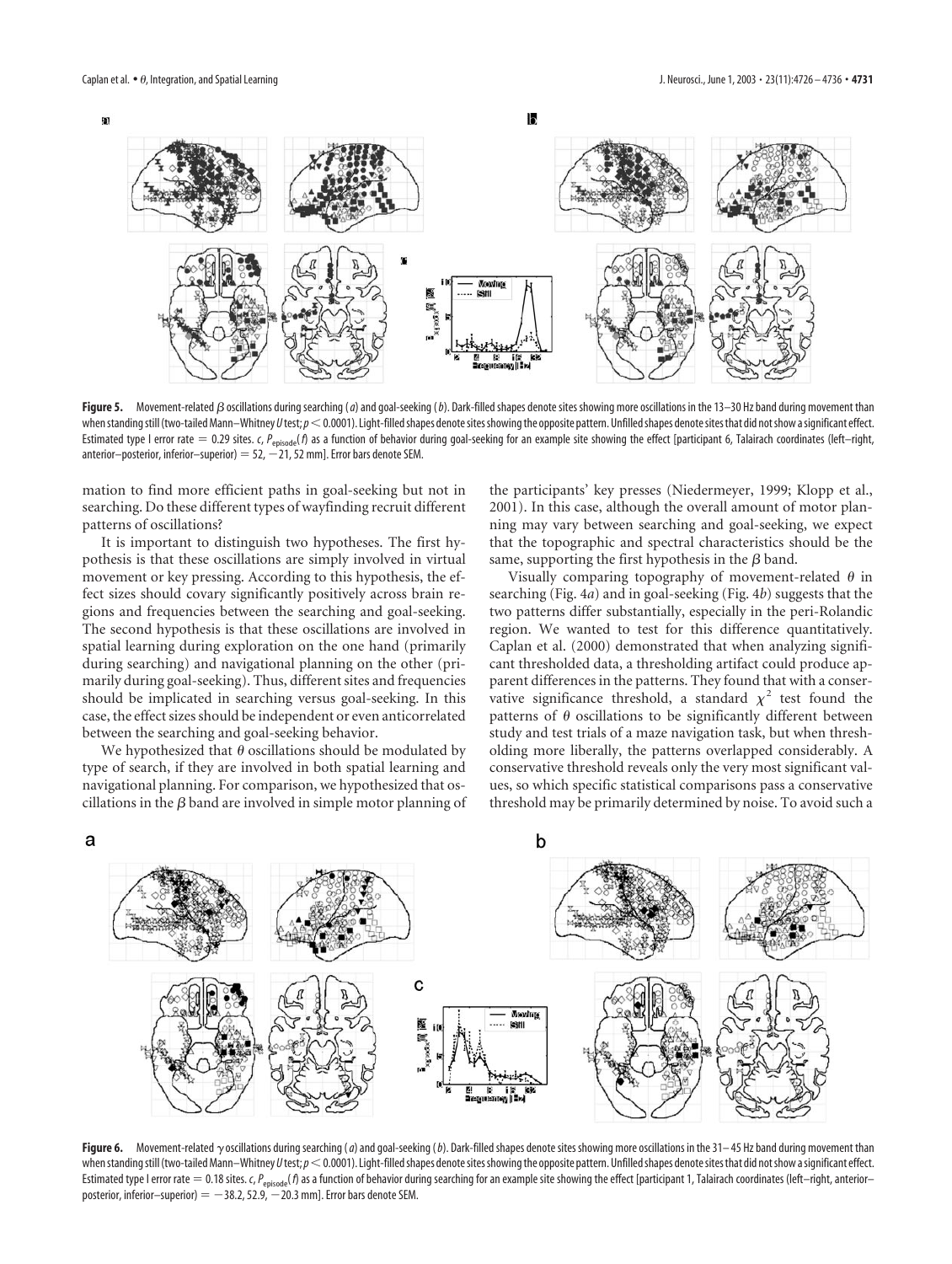

Figure 5. Movement-related  $\beta$  oscillations during searching (*a*) and goal-seeking (*b*). Dark-filled shapes denote sites showing more oscillations in the 13–30 Hz band during movement than when standing still (two-tailed Mann-Whitney *U* test;  $p < 0.0001$ ). Light-filled shapes denote sites showing the opposite pattern. Unfilled shapes denote sites that did not show a significant effect. Estimated type I error rate = 0.29 sites. *c*, *P*<sub>episode</sub>(*f*) as a function of behavior during goal-seeking for an example site showing the effect [participant 6, Talairach coordinates (left–right, anterior–posterior, inferior–superior) =  $52, -21, 52$  mm]. Error bars denote SEM.

mation to find more efficient paths in goal-seeking but not in searching. Do these different types of wayfinding recruit different patterns of oscillations?

It is important to distinguish two hypotheses. The first hypothesis is that these oscillations are simply involved in virtual movement or key pressing. According to this hypothesis, the effect sizes should covary significantly positively across brain regions and frequencies between the searching and goal-seeking. The second hypothesis is that these oscillations are involved in spatial learning during exploration on the one hand (primarily during searching) and navigational planning on the other (primarily during goal-seeking). Thus, different sites and frequencies should be implicated in searching versus goal-seeking. In this case, the effect sizes should be independent or even anticorrelated between the searching and goal-seeking behavior.

We hypothesized that  $\theta$  oscillations should be modulated by type of search, if they are involved in both spatial learning and navigational planning. For comparison, we hypothesized that oscillations in the  $\beta$  band are involved in simple motor planning of the participants' key presses (Niedermeyer, 1999; Klopp et al., 2001). In this case, although the overall amount of motor planning may vary between searching and goal-seeking, we expect that the topographic and spectral characteristics should be the same, supporting the first hypothesis in the  $\beta$  band.

Visually comparing topography of movement-related  $\theta$  in searching (Fig. 4*a*) and in goal-seeking (Fig. 4*b*) suggests that the two patterns differ substantially, especially in the peri-Rolandic region. We wanted to test for this difference quantitatively. Caplan et al. (2000) demonstrated that when analyzing significant thresholded data, a thresholding artifact could produce apparent differences in the patterns. They found that with a conservative significance threshold, a standard  $\chi^2$  test found the patterns of  $\theta$  oscillations to be significantly different between study and test trials of a maze navigation task, but when thresholding more liberally, the patterns overlapped considerably. A conservative threshold reveals only the very most significant values, so which specific statistical comparisons pass a conservative threshold may be primarily determined by noise. To avoid such a



Figure 6. Movement-related  $\gamma$  oscillations during searching (*a*) and goal-seeking (*b*). Dark-filled shapes denote sites showing more oscillations in the 31–45 Hz band during movement than when standing still (two-tailed Mann-Whitney *U* test;  $p < 0.0001$ ). Light-filled shapes denote sites showing the opposite pattern. Unfilled shapes denote sites that did not show a significant effect. Estimated type I error rate = 0.18 sites. *c*, P<sub>episode</sub>(*f*) as a function of behavior during searching for an example site showing the effect [participant 1, Talairach coordinates (left–right, anterior– posterior, inferior–superior)  $=$   $-38.2$ , 52.9,  $-20.3$  mm]. Error bars denote SEM.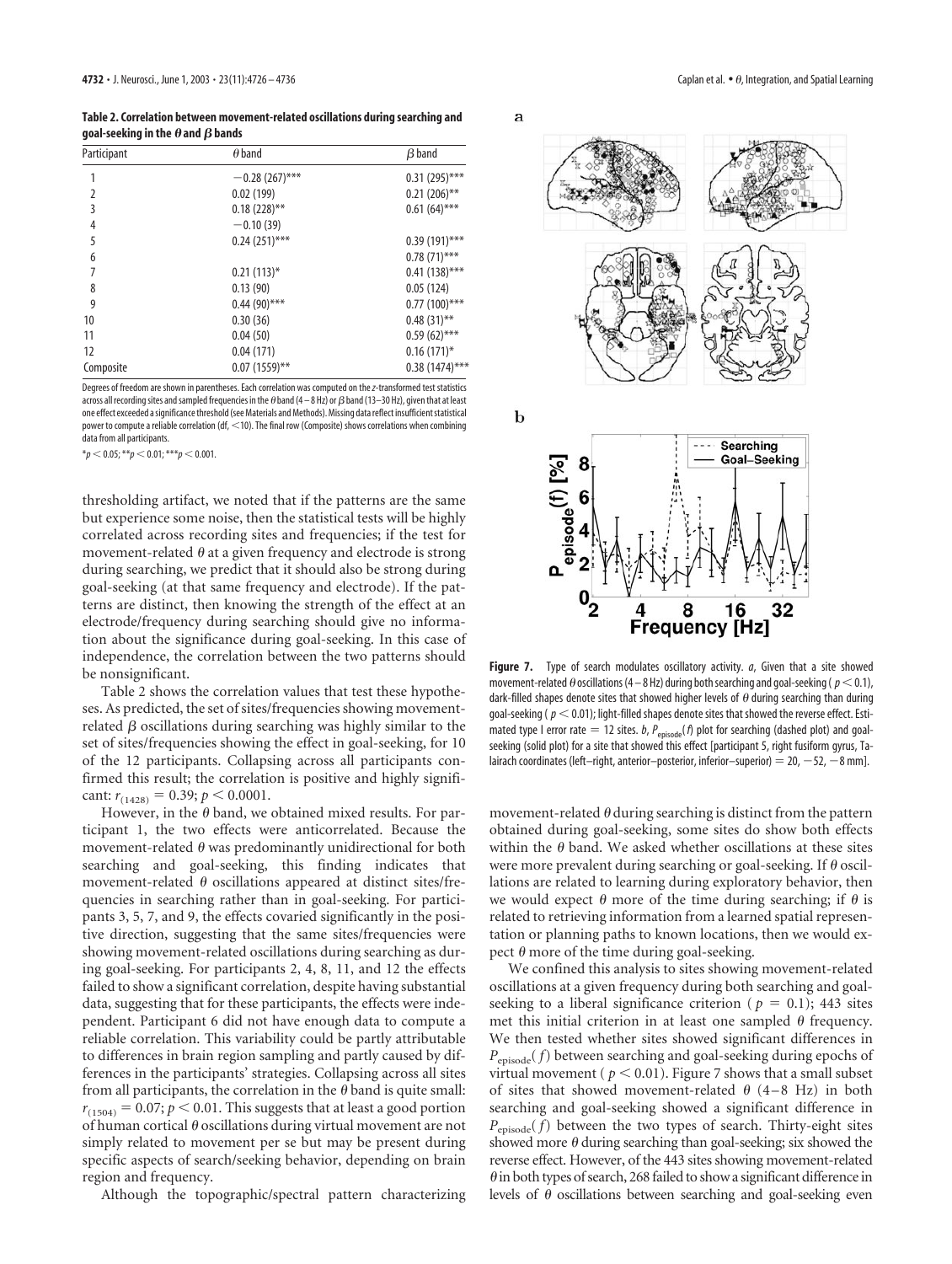**Table 2. Correlation between movement-related oscillations during searching and** goal-seeking in the  $\boldsymbol{\theta}$  and  $\boldsymbol{\beta}$  bands

| Participant | $\theta$ band    | $\beta$ band     |
|-------------|------------------|------------------|
|             | $-0.28(267)$ *** | $0.31(295)$ ***  |
| 2           | 0.02(199)        | $0.21(206)$ **   |
| 3           | $0.18(228)$ **   | $0.61(64)$ ***   |
| 4           | $-0.10(39)$      |                  |
| 5           | $0.24(251)$ ***  | $0.39(191)$ ***  |
| 6           |                  | $0.78(71)$ ***   |
|             | $0.21(113)*$     | $0.41(138)$ ***  |
| 8           | 0.13(90)         | 0.05(124)        |
| 9           | $0.44(90)$ ***   | $0.77(100)$ ***  |
| 10          | 0.30(36)         | $0.48(31)$ **    |
| 11          | 0.04(50)         | $0.59(62)$ ***   |
| 12          | 0.04(171)        | $0.16(171)$ *    |
| Composite   | $0.07(1559)$ **  | $0.38(1474)$ *** |

Degrees of freedom are shown in parentheses. Each correlation was computed on the*z*-transformed test statistics across all recording sites and sampled frequencies in the  $\theta$  band (4  $-$  8 Hz) or  $\beta$  band (13–30 Hz), given that at least one effect exceeded a significance threshold (see Materials and Methods). Missing data reflect insufficient statistical power to compute a reliable correlation (df, <10). The final row (Composite) shows correlations when combining data from all participants.

 $**p* < 0.05; ***p* < 0.01; ****p* < 0.001.$ 

thresholding artifact, we noted that if the patterns are the same but experience some noise, then the statistical tests will be highly correlated across recording sites and frequencies; if the test for movement-related  $\theta$  at a given frequency and electrode is strong during searching, we predict that it should also be strong during goal-seeking (at that same frequency and electrode). If the patterns are distinct, then knowing the strength of the effect at an electrode/frequency during searching should give no information about the significance during goal-seeking. In this case of independence, the correlation between the two patterns should be nonsignificant.

Table 2 shows the correlation values that test these hypotheses. As predicted, the set of sites/frequencies showing movementrelated  $\beta$  oscillations during searching was highly similar to the set of sites/frequencies showing the effect in goal-seeking, for 10 of the 12 participants. Collapsing across all participants confirmed this result; the correlation is positive and highly significant:  $r_{(1428)} = 0.39; p < 0.0001$ .

However, in the  $\theta$  band, we obtained mixed results. For participant 1, the two effects were anticorrelated. Because the movement-related  $\theta$  was predominantly unidirectional for both searching and goal-seeking, this finding indicates that movement-related  $\theta$  oscillations appeared at distinct sites/frequencies in searching rather than in goal-seeking. For participants 3, 5, 7, and 9, the effects covaried significantly in the positive direction, suggesting that the same sites/frequencies were showing movement-related oscillations during searching as during goal-seeking. For participants 2, 4, 8, 11, and 12 the effects failed to show a significant correlation, despite having substantial data, suggesting that for these participants, the effects were independent. Participant 6 did not have enough data to compute a reliable correlation. This variability could be partly attributable to differences in brain region sampling and partly caused by differences in the participants' strategies. Collapsing across all sites from all participants, the correlation in the  $\theta$  band is quite small:  $r_{(1504)} = 0.07; p < 0.01$ . This suggests that at least a good portion of human cortical  $\theta$  oscillations during virtual movement are not simply related to movement per se but may be present during specific aspects of search/seeking behavior, depending on brain region and frequency.

Although the topographic/spectral pattern characterizing





**Figure 7.** Type of search modulates oscillatory activity. *a*, Given that a site showed movement-related  $\theta$  oscillations (4 – 8 Hz) during both searching and goal-seeking (  $p<$  0.1), dark-filled shapes denote sites that showed higher levels of  $\theta$  during searching than during goal-seeking ( $p < 0.01$ ); light-filled shapes denote sites that showed the reverse effect. Estimated type I error rate  $= 12$  sites. *b*,  $P_{\text{episode}}(f)$  plot for searching (dashed plot) and goalseeking (solid plot) for a site that showed this effect [participant 5, right fusiform gyrus, Talairach coordinates (left-right, anterior-posterior, inferior-superior) = 20,  $-52$ ,  $-8$  mm].

movement-related  $\theta$  during searching is distinct from the pattern obtained during goal-seeking, some sites do show both effects within the  $\theta$  band. We asked whether oscillations at these sites were more prevalent during searching or goal-seeking. If  $\theta$  oscillations are related to learning during exploratory behavior, then we would expect  $\theta$  more of the time during searching; if  $\theta$  is related to retrieving information from a learned spatial representation or planning paths to known locations, then we would expect  $\theta$  more of the time during goal-seeking.

We confined this analysis to sites showing movement-related oscillations at a given frequency during both searching and goalseeking to a liberal significance criterion ( $p = 0.1$ ); 443 sites met this initial criterion in at least one sampled  $\theta$  frequency. We then tested whether sites showed significant differences in *P*episode( *f*) between searching and goal-seeking during epochs of virtual movement ( $p < 0.01$ ). Figure 7 shows that a small subset of sites that showed movement-related  $\theta$  (4–8 Hz) in both searching and goal-seeking showed a significant difference in  $P_{\text{enisode}}(f)$  between the two types of search. Thirty-eight sites showed more  $\theta$  during searching than goal-seeking; six showed the reverse effect. However, of the 443 sites showing movement-related  $\theta$  in both types of search, 268 failed to show a significant difference in levels of  $\theta$  oscillations between searching and goal-seeking even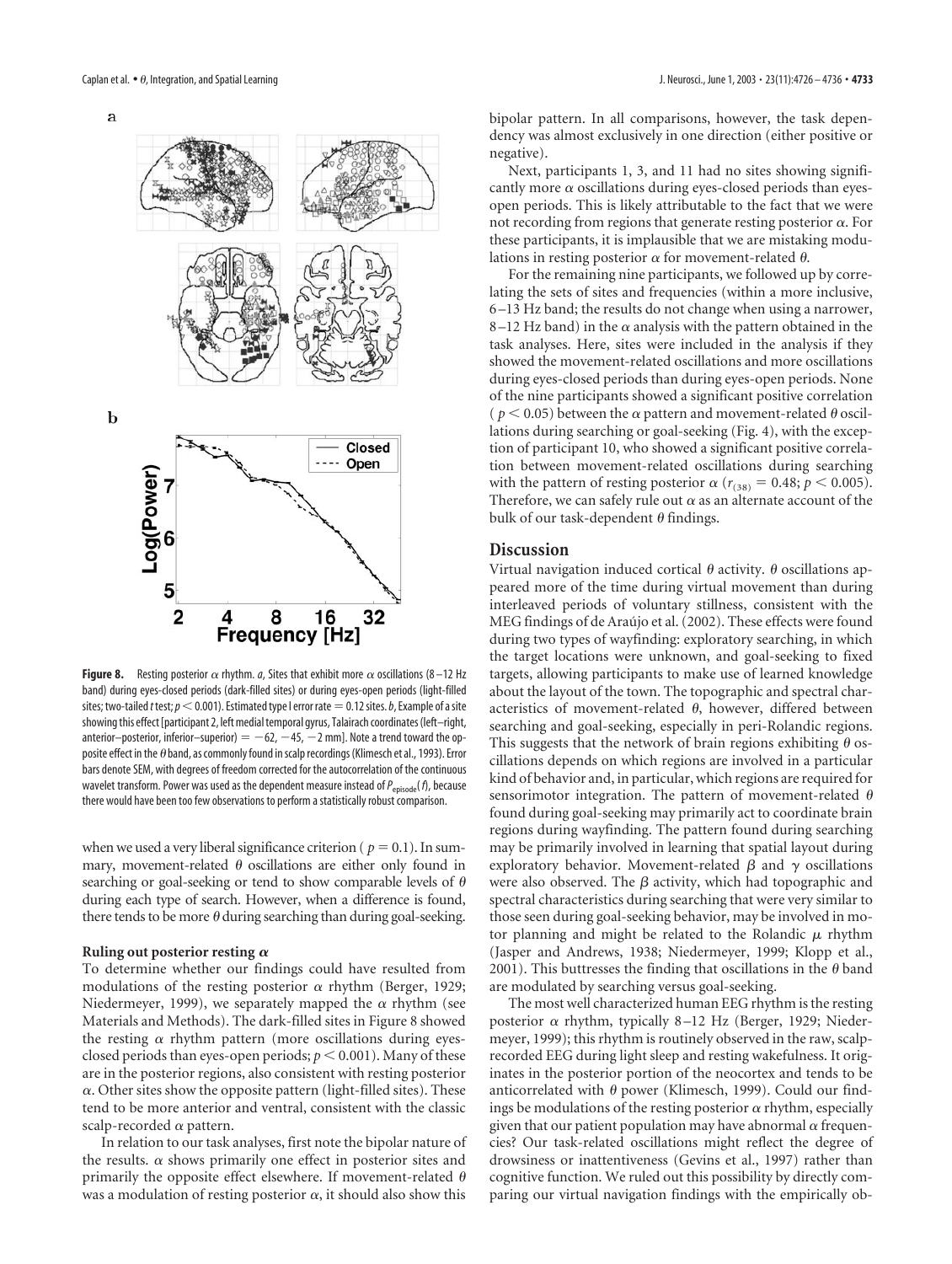a



**Figure 8.** Resting posterior  $\alpha$  rhythm. *a*, Sites that exhibit more  $\alpha$  oscillations (8-12 Hz band) during eyes-closed periods (dark-filled sites) or during eyes-open periods (light-filled sites; two-tailed *t* test;  $p<0.001$ ). Estimated type I error rate  $=0.12$  sites. *b*, Example of a site showing this effect [participant 2, left medial temporal gyrus, Talairach coordinates (left–right, anterior–posterior, inferior–superior)  $= -62, -45, -2$  mm]. Note a trend toward the opposite effect in the  $\theta$  band, as commonly found in scalp recordings (Klimesch et al., 1993). Error bars denote SEM, with degrees of freedom corrected for the autocorrelation of the continuous wavelet transform. Power was used as the dependent measure instead of  $P_{\text{evisode}}(f)$ , because there would have been too few observations to perform a statistically robust comparison.

when we used a very liberal significance criterion ( $p = 0.1$ ). In summary, movement-related  $\theta$  oscillations are either only found in searching or goal-seeking or tend to show comparable levels of  $\theta$ during each type of search. However, when a difference is found, there tends to be more  $\theta$  during searching than during goal-seeking.

#### **Ruling out posterior resting**

To determine whether our findings could have resulted from modulations of the resting posterior  $\alpha$  rhythm (Berger, 1929; Niedermeyer, 1999), we separately mapped the  $\alpha$  rhythm (see Materials and Methods). The dark-filled sites in Figure 8 showed the resting  $\alpha$  rhythm pattern (more oscillations during eyesclosed periods than eyes-open periods;  $p < 0.001$ ). Many of these are in the posterior regions, also consistent with resting posterior  $\alpha$ . Other sites show the opposite pattern (light-filled sites). These tend to be more anterior and ventral, consistent with the classic scalp-recorded  $\alpha$  pattern.

In relation to our task analyses, first note the bipolar nature of the results.  $\alpha$  shows primarily one effect in posterior sites and primarily the opposite effect elsewhere. If movement-related  $\theta$ was a modulation of resting posterior  $\alpha$ , it should also show this

bipolar pattern. In all comparisons, however, the task dependency was almost exclusively in one direction (either positive or negative).

Next, participants 1, 3, and 11 had no sites showing significantly more  $\alpha$  oscillations during eyes-closed periods than eyesopen periods. This is likely attributable to the fact that we were not recording from regions that generate resting posterior  $\alpha$ . For these participants, it is implausible that we are mistaking modulations in resting posterior  $\alpha$  for movement-related  $\theta$ .

For the remaining nine participants, we followed up by correlating the sets of sites and frequencies (within a more inclusive, 6–13 Hz band; the results do not change when using a narrower, 8–12 Hz band) in the  $\alpha$  analysis with the pattern obtained in the task analyses. Here, sites were included in the analysis if they showed the movement-related oscillations and more oscillations during eyes-closed periods than during eyes-open periods. None of the nine participants showed a significant positive correlation ( $p < 0.05$ ) between the  $\alpha$  pattern and movement-related  $\theta$  oscillations during searching or goal-seeking (Fig. 4), with the exception of participant 10, who showed a significant positive correlation between movement-related oscillations during searching with the pattern of resting posterior  $\alpha$  ( $r_{(38)} = 0.48; p < 0.005$ ). Therefore, we can safely rule out  $\alpha$  as an alternate account of the bulk of our task-dependent  $\theta$  findings.

#### **Discussion**

Virtual navigation induced cortical  $\theta$  activity.  $\theta$  oscillations appeared more of the time during virtual movement than during interleaved periods of voluntary stillness, consistent with the MEG findings of de Araújo et al. (2002). These effects were found during two types of wayfinding: exploratory searching, in which the target locations were unknown, and goal-seeking to fixed targets, allowing participants to make use of learned knowledge about the layout of the town. The topographic and spectral characteristics of movement-related  $\theta$ , however, differed between searching and goal-seeking, especially in peri-Rolandic regions. This suggests that the network of brain regions exhibiting  $\theta$  oscillations depends on which regions are involved in a particular kind of behavior and, in particular, which regions are required for sensorimotor integration. The pattern of movement-related  $\theta$ found during goal-seeking may primarily act to coordinate brain regions during wayfinding. The pattern found during searching may be primarily involved in learning that spatial layout during exploratory behavior. Movement-related  $\beta$  and  $\gamma$  oscillations were also observed. The  $\beta$  activity, which had topographic and spectral characteristics during searching that were very similar to those seen during goal-seeking behavior, may be involved in motor planning and might be related to the Rolandic  $\mu$  rhythm (Jasper and Andrews, 1938; Niedermeyer, 1999; Klopp et al., 2001). This buttresses the finding that oscillations in the  $\theta$  band are modulated by searching versus goal-seeking.

The most well characterized human EEG rhythm is the resting posterior  $\alpha$  rhythm, typically 8–12 Hz (Berger, 1929; Niedermeyer, 1999); this rhythm is routinely observed in the raw, scalprecorded EEG during light sleep and resting wakefulness. It originates in the posterior portion of the neocortex and tends to be anticorrelated with  $\theta$  power (Klimesch, 1999). Could our findings be modulations of the resting posterior  $\alpha$  rhythm, especially given that our patient population may have abnormal  $\alpha$  frequencies? Our task-related oscillations might reflect the degree of drowsiness or inattentiveness (Gevins et al., 1997) rather than cognitive function. We ruled out this possibility by directly comparing our virtual navigation findings with the empirically ob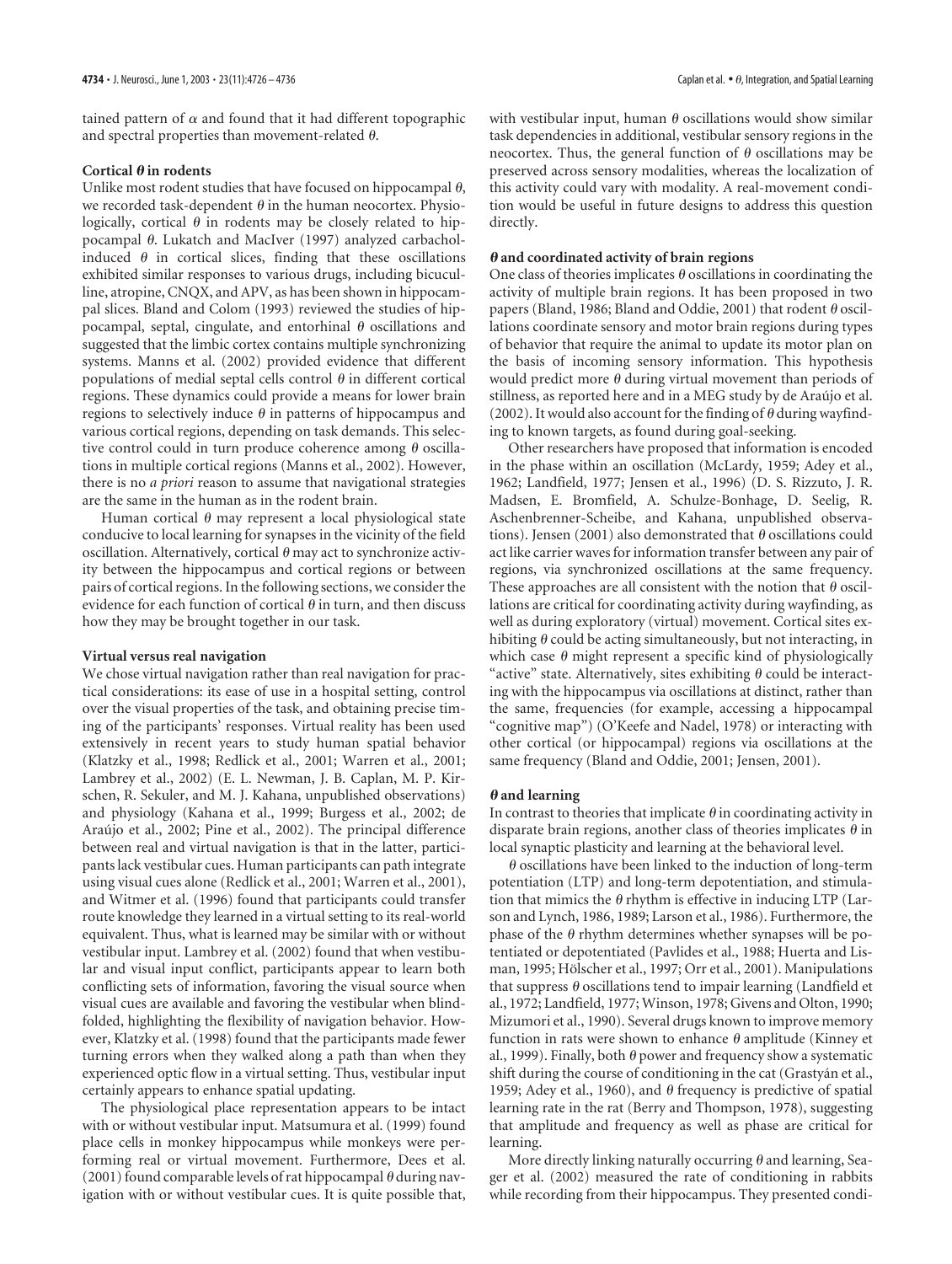tained pattern of  $\alpha$  and found that it had different topographic and spectral properties than movement-related  $\theta$ .

#### Cortical  $\theta$  in rodents

Unlike most rodent studies that have focused on hippocampal  $\theta$ , we recorded task-dependent  $\theta$  in the human neocortex. Physiologically, cortical  $\theta$  in rodents may be closely related to hippocampal  $\theta$ . Lukatch and MacIver (1997) analyzed carbacholinduced  $\theta$  in cortical slices, finding that these oscillations exhibited similar responses to various drugs, including bicuculline, atropine, CNQX, and APV, as has been shown in hippocampal slices. Bland and Colom (1993) reviewed the studies of hippocampal, septal, cingulate, and entorhinal  $\theta$  oscillations and suggested that the limbic cortex contains multiple synchronizing systems. Manns et al. (2002) provided evidence that different populations of medial septal cells control  $\theta$  in different cortical regions. These dynamics could provide a means for lower brain regions to selectively induce  $\theta$  in patterns of hippocampus and various cortical regions, depending on task demands. This selective control could in turn produce coherence among  $\theta$  oscillations in multiple cortical regions (Manns et al., 2002). However, there is no *a priori* reason to assume that navigational strategies are the same in the human as in the rodent brain.

Human cortical  $\theta$  may represent a local physiological state conducive to local learning for synapses in the vicinity of the field oscillation. Alternatively, cortical  $\theta$  may act to synchronize activity between the hippocampus and cortical regions or between pairs of cortical regions. In the following sections, we consider the evidence for each function of cortical  $\theta$  in turn, and then discuss how they may be brought together in our task.

## **Virtual versus real navigation**

We chose virtual navigation rather than real navigation for practical considerations: its ease of use in a hospital setting, control over the visual properties of the task, and obtaining precise timing of the participants' responses. Virtual reality has been used extensively in recent years to study human spatial behavior (Klatzky et al., 1998; Redlick et al., 2001; Warren et al., 2001; Lambrey et al., 2002) (E. L. Newman, J. B. Caplan, M. P. Kirschen, R. Sekuler, and M. J. Kahana, unpublished observations) and physiology (Kahana et al., 1999; Burgess et al., 2002; de Araújo et al., 2002; Pine et al., 2002). The principal difference between real and virtual navigation is that in the latter, participants lack vestibular cues. Human participants can path integrate using visual cues alone (Redlick et al., 2001; Warren et al., 2001), and Witmer et al. (1996) found that participants could transfer route knowledge they learned in a virtual setting to its real-world equivalent. Thus, what is learned may be similar with or without vestibular input. Lambrey et al. (2002) found that when vestibular and visual input conflict, participants appear to learn both conflicting sets of information, favoring the visual source when visual cues are available and favoring the vestibular when blindfolded, highlighting the flexibility of navigation behavior. However, Klatzky et al. (1998) found that the participants made fewer turning errors when they walked along a path than when they experienced optic flow in a virtual setting. Thus, vestibular input certainly appears to enhance spatial updating.

The physiological place representation appears to be intact with or without vestibular input. Matsumura et al. (1999) found place cells in monkey hippocampus while monkeys were performing real or virtual movement. Furthermore, Dees et al. (2001) found comparable levels of rat hippocampal  $\theta$  during navigation with or without vestibular cues. It is quite possible that,

with vestibular input, human  $\theta$  oscillations would show similar task dependencies in additional, vestibular sensory regions in the neocortex. Thus, the general function of  $\theta$  oscillations may be preserved across sensory modalities, whereas the localization of this activity could vary with modality. A real-movement condition would be useful in future designs to address this question directly.

#### **and coordinated activity of brain regions**

One class of theories implicates  $\theta$  oscillations in coordinating the activity of multiple brain regions. It has been proposed in two papers (Bland, 1986; Bland and Oddie, 2001) that rodent  $\theta$  oscillations coordinate sensory and motor brain regions during types of behavior that require the animal to update its motor plan on the basis of incoming sensory information. This hypothesis would predict more  $\theta$  during virtual movement than periods of stillness, as reported here and in a MEG study by de Araújo et al. (2002). It would also account for the finding of  $\theta$  during wayfinding to known targets, as found during goal-seeking.

Other researchers have proposed that information is encoded in the phase within an oscillation (McLardy, 1959; Adey et al., 1962; Landfield, 1977; Jensen et al., 1996) (D. S. Rizzuto, J. R. Madsen, E. Bromfield, A. Schulze-Bonhage, D. Seelig, R. Aschenbrenner-Scheibe, and Kahana, unpublished observations). Jensen (2001) also demonstrated that  $\theta$  oscillations could act like carrier waves for information transfer between any pair of regions, via synchronized oscillations at the same frequency. These approaches are all consistent with the notion that  $\theta$  oscillations are critical for coordinating activity during wayfinding, as well as during exploratory (virtual) movement. Cortical sites exhibiting  $\theta$  could be acting simultaneously, but not interacting, in which case  $\theta$  might represent a specific kind of physiologically "active" state. Alternatively, sites exhibiting  $\theta$  could be interacting with the hippocampus via oscillations at distinct, rather than the same, frequencies (for example, accessing a hippocampal "cognitive map") (O'Keefe and Nadel, 1978) or interacting with other cortical (or hippocampal) regions via oscillations at the same frequency (Bland and Oddie, 2001; Jensen, 2001).

#### $\theta$  and learning

In contrast to theories that implicate  $\theta$  in coordinating activity in disparate brain regions, another class of theories implicates  $\theta$  in local synaptic plasticity and learning at the behavioral level.

 $\theta$  oscillations have been linked to the induction of long-term potentiation (LTP) and long-term depotentiation, and stimulation that mimics the  $\theta$  rhythm is effective in inducing LTP (Larson and Lynch, 1986, 1989; Larson et al., 1986). Furthermore, the phase of the  $\theta$  rhythm determines whether synapses will be potentiated or depotentiated (Pavlides et al., 1988; Huerta and Lisman, 1995; Hölscher et al., 1997; Orr et al., 2001). Manipulations that suppress  $\theta$  oscillations tend to impair learning (Landfield et al., 1972; Landfield, 1977; Winson, 1978; Givens and Olton, 1990; Mizumori et al., 1990). Several drugs known to improve memory function in rats were shown to enhance  $\theta$  amplitude (Kinney et al., 1999). Finally, both  $\theta$  power and frequency show a systematic shift during the course of conditioning in the cat (Grastyán et al., 1959; Adey et al., 1960), and  $\theta$  frequency is predictive of spatial learning rate in the rat (Berry and Thompson, 1978), suggesting that amplitude and frequency as well as phase are critical for learning.

More directly linking naturally occurring  $\theta$  and learning, Seager et al. (2002) measured the rate of conditioning in rabbits while recording from their hippocampus. They presented condi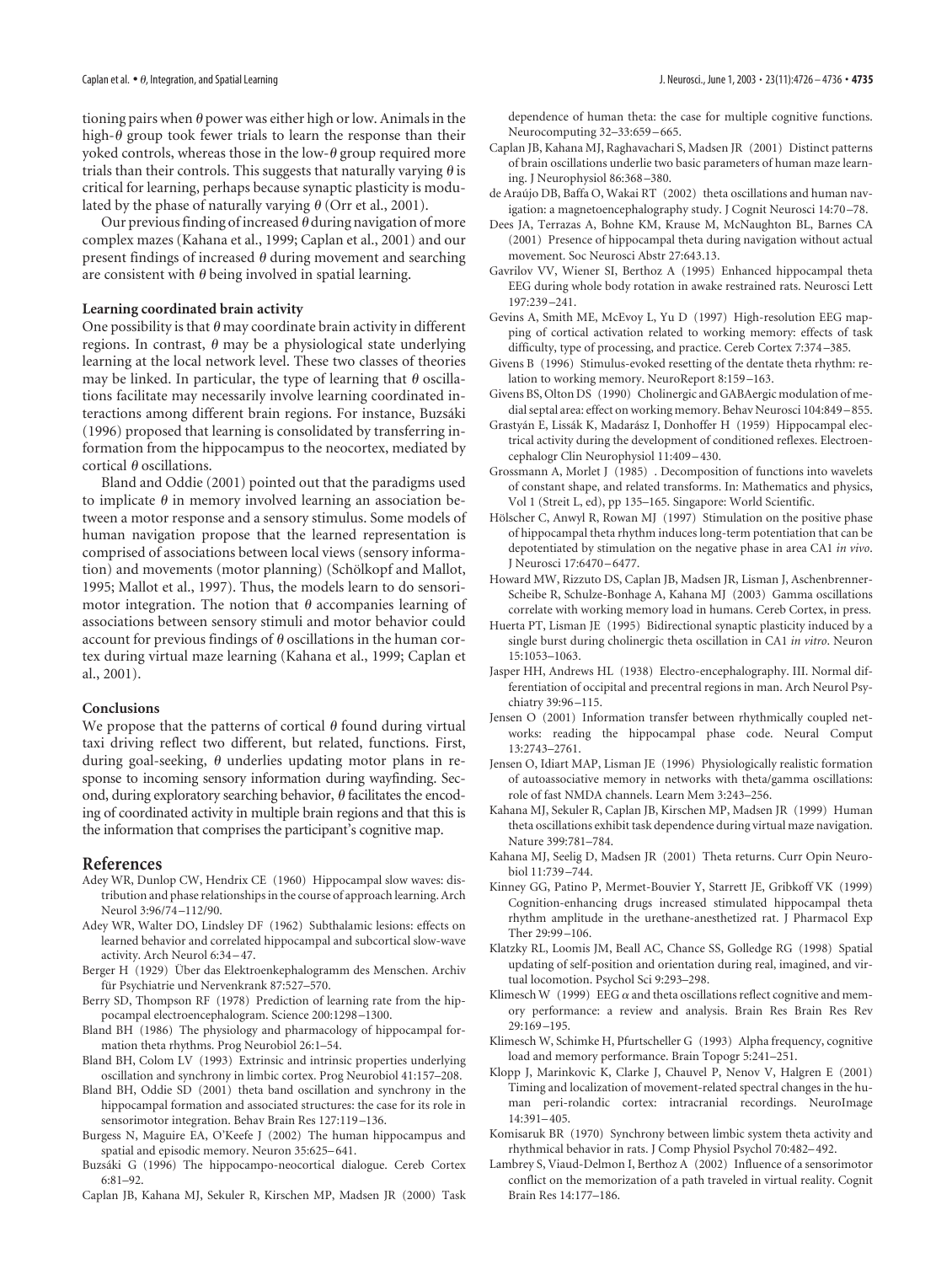tioning pairs when  $\theta$  power was either high or low. Animals in the high- $\theta$  group took fewer trials to learn the response than their yoked controls, whereas those in the low- $\theta$  group required more trials than their controls. This suggests that naturally varying  $\theta$  is critical for learning, perhaps because synaptic plasticity is modulated by the phase of naturally varying  $\theta$  (Orr et al., 2001).

Our previous finding of increased  $\theta$  during navigation of more complex mazes (Kahana et al., 1999; Caplan et al., 2001) and our present findings of increased  $\theta$  during movement and searching are consistent with  $\theta$  being involved in spatial learning.

#### **Learning coordinated brain activity**

One possibility is that  $\theta$  may coordinate brain activity in different regions. In contrast,  $\theta$  may be a physiological state underlying learning at the local network level. These two classes of theories may be linked. In particular, the type of learning that  $\theta$  oscillations facilitate may necessarily involve learning coordinated interactions among different brain regions. For instance, Buzsáki (1996) proposed that learning is consolidated by transferring information from the hippocampus to the neocortex, mediated by cortical  $\theta$  oscillations.

Bland and Oddie (2001) pointed out that the paradigms used to implicate  $\theta$  in memory involved learning an association between a motor response and a sensory stimulus. Some models of human navigation propose that the learned representation is comprised of associations between local views (sensory information) and movements (motor planning) (Schölkopf and Mallot, 1995; Mallot et al., 1997). Thus, the models learn to do sensorimotor integration. The notion that  $\theta$  accompanies learning of associations between sensory stimuli and motor behavior could account for previous findings of  $\theta$  oscillations in the human cortex during virtual maze learning (Kahana et al., 1999; Caplan et al., 2001).

#### **Conclusions**

We propose that the patterns of cortical  $\theta$  found during virtual taxi driving reflect two different, but related, functions. First, during goal-seeking,  $\theta$  underlies updating motor plans in response to incoming sensory information during wayfinding. Second, during exploratory searching behavior,  $\theta$  facilitates the encoding of coordinated activity in multiple brain regions and that this is the information that comprises the participant's cognitive map.

#### **References**

- Adey WR, Dunlop CW, Hendrix CE (1960) Hippocampal slow waves: distribution and phase relationships in the course of approach learning. Arch Neurol 3:96/74–112/90.
- Adey WR, Walter DO, Lindsley DF (1962) Subthalamic lesions: effects on learned behavior and correlated hippocampal and subcortical slow-wave activity. Arch Neurol 6:34–47.
- Berger H (1929) Über das Elektroenkephalogramm des Menschen. Archiv für Psychiatrie und Nervenkrank 87:527-570.
- Berry SD, Thompson RF (1978) Prediction of learning rate from the hippocampal electroencephalogram. Science 200:1298–1300.
- Bland BH (1986) The physiology and pharmacology of hippocampal formation theta rhythms. Prog Neurobiol 26:1–54.
- Bland BH, Colom LV (1993) Extrinsic and intrinsic properties underlying oscillation and synchrony in limbic cortex. Prog Neurobiol 41:157–208.
- Bland BH, Oddie SD (2001) theta band oscillation and synchrony in the hippocampal formation and associated structures: the case for its role in sensorimotor integration. Behav Brain Res 127:119–136.
- Burgess N, Maguire EA, O'Keefe J (2002) The human hippocampus and spatial and episodic memory. Neuron 35:625–641.
- Buzsáki G (1996) The hippocampo-neocortical dialogue. Cereb Cortex 6:81–92.
- Caplan JB, Kahana MJ, Sekuler R, Kirschen MP, Madsen JR (2000) Task

dependence of human theta: the case for multiple cognitive functions. Neurocomputing 32–33:659–665.

- Caplan JB, Kahana MJ, Raghavachari S, Madsen JR (2001) Distinct patterns of brain oscillations underlie two basic parameters of human maze learning. J Neurophysiol 86:368–380.
- de Arau´jo DB, Baffa O, Wakai RT (2002) theta oscillations and human navigation: a magnetoencephalography study. J Cognit Neurosci 14:70–78.
- Dees JA, Terrazas A, Bohne KM, Krause M, McNaughton BL, Barnes CA (2001) Presence of hippocampal theta during navigation without actual movement. Soc Neurosci Abstr 27:643.13.
- Gavrilov VV, Wiener SI, Berthoz A (1995) Enhanced hippocampal theta EEG during whole body rotation in awake restrained rats. Neurosci Lett 197:239–241.
- Gevins A, Smith ME, McEvoy L, Yu D (1997) High-resolution EEG mapping of cortical activation related to working memory: effects of task difficulty, type of processing, and practice. Cereb Cortex 7:374–385.
- Givens B (1996) Stimulus-evoked resetting of the dentate theta rhythm: relation to working memory. NeuroReport 8:159–163.
- Givens BS, Olton DS (1990) Cholinergic and GABAergic modulation of medial septal area: effect on working memory. Behav Neurosci 104:849–855.
- Grastyán E, Lissák K, Madarász I, Donhoffer H (1959) Hippocampal electrical activity during the development of conditioned reflexes. Electroencephalogr Clin Neurophysiol 11:409–430.
- Grossmann A, Morlet J (1985) . Decomposition of functions into wavelets of constant shape, and related transforms. In: Mathematics and physics, Vol 1 (Streit L, ed), pp 135–165. Singapore: World Scientific.
- Hölscher C, Anwyl R, Rowan MJ (1997) Stimulation on the positive phase of hippocampal theta rhythm induces long-term potentiation that can be depotentiated by stimulation on the negative phase in area CA1 *in vivo*. J Neurosci 17:6470–6477.
- Howard MW, Rizzuto DS, Caplan JB, Madsen JR, Lisman J, Aschenbrenner-Scheibe R, Schulze-Bonhage A, Kahana MJ (2003) Gamma oscillations correlate with working memory load in humans. Cereb Cortex, in press.
- Huerta PT, Lisman JE (1995) Bidirectional synaptic plasticity induced by a single burst during cholinergic theta oscillation in CA1 *in vitro*. Neuron 15:1053–1063.
- Jasper HH, Andrews HL (1938) Electro-encephalography. III. Normal differentiation of occipital and precentral regions in man. Arch Neurol Psychiatry 39:96–115.
- Jensen O (2001) Information transfer between rhythmically coupled networks: reading the hippocampal phase code. Neural Comput 13:2743–2761.
- Jensen O, Idiart MAP, Lisman JE (1996) Physiologically realistic formation of autoassociative memory in networks with theta/gamma oscillations: role of fast NMDA channels. Learn Mem 3:243–256.
- Kahana MJ, Sekuler R, Caplan JB, Kirschen MP, Madsen JR (1999) Human theta oscillations exhibit task dependence during virtual maze navigation. Nature 399:781–784.
- Kahana MJ, Seelig D, Madsen JR (2001) Theta returns. Curr Opin Neurobiol 11:739–744.
- Kinney GG, Patino P, Mermet-Bouvier Y, Starrett JE, Gribkoff VK (1999) Cognition-enhancing drugs increased stimulated hippocampal theta rhythm amplitude in the urethane-anesthetized rat. J Pharmacol Exp Ther 29:99–106.
- Klatzky RL, Loomis JM, Beall AC, Chance SS, Golledge RG (1998) Spatial updating of self-position and orientation during real, imagined, and virtual locomotion. Psychol Sci 9:293–298.
- Klimesch W (1999) EEG  $\alpha$  and theta oscillations reflect cognitive and memory performance: a review and analysis. Brain Res Brain Res Rev 29:169–195.
- Klimesch W, Schimke H, Pfurtscheller G (1993) Alpha frequency, cognitive load and memory performance. Brain Topogr 5:241–251.
- Klopp J, Marinkovic K, Clarke J, Chauvel P, Nenov V, Halgren E (2001) Timing and localization of movement-related spectral changes in the human peri-rolandic cortex: intracranial recordings. NeuroImage 14:391–405.
- Komisaruk BR (1970) Synchrony between limbic system theta activity and rhythmical behavior in rats. J Comp Physiol Psychol 70:482–492.
- Lambrey S, Viaud-Delmon I, Berthoz A (2002) Influence of a sensorimotor conflict on the memorization of a path traveled in virtual reality. Cognit Brain Res 14:177–186.